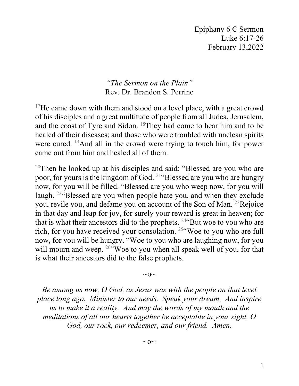Epiphany 6 C Sermon Luke 6:17-26 February 13,2022

*"The Sermon on the Plain"* Rev. Dr. Brandon S. Perrine

<sup>17</sup>He came down with them and stood on a level place, with a great crowd of his disciples and a great multitude of people from all Judea, Jerusalem, and the coast of Tyre and Sidon. 18They had come to hear him and to be healed of their diseases; and those who were troubled with unclean spirits were cured. <sup>19</sup>And all in the crowd were trying to touch him, for power came out from him and healed all of them.

<sup>20</sup>Then he looked up at his disciples and said: "Blessed are you who are poor, for yours is the kingdom of God. 21"Blessed are you who are hungry now, for you will be filled. "Blessed are you who weep now, for you will laugh. 22"Blessed are you when people hate you, and when they exclude you, revile you, and defame you on account of the Son of Man.<sup>23</sup>Rejoice in that day and leap for joy, for surely your reward is great in heaven; for that is what their ancestors did to the prophets.  $24$ "But woe to you who are rich, for you have received your consolation. 25"Woe to you who are full now, for you will be hungry. "Woe to you who are laughing now, for you will mourn and weep. <sup>26"</sup>Woe to you when all speak well of you, for that is what their ancestors did to the false prophets.

 $\sim$ O $\sim$ 

*Be among us now, O God, as Jesus was with the people on that level place long ago. Minister to our needs. Speak your dream. And inspire us to make it a reality. And may the words of my mouth and the meditations of all our hearts together be acceptable in your sight, O God, our rock, our redeemer, and our friend. Amen*.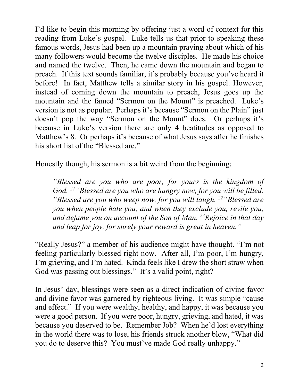I'd like to begin this morning by offering just a word of context for this reading from Luke's gospel. Luke tells us that prior to speaking these famous words, Jesus had been up a mountain praying about which of his many followers would become the twelve disciples. He made his choice and named the twelve. Then, he came down the mountain and began to preach. If this text sounds familiar, it's probably because you've heard it before! In fact, Matthew tells a similar story in his gospel. However, instead of coming down the mountain to preach, Jesus goes up the mountain and the famed "Sermon on the Mount" is preached. Luke's version is not as popular. Perhaps it's because "Sermon on the Plain" just doesn't pop the way "Sermon on the Mount" does. Or perhaps it's because in Luke's version there are only 4 beatitudes as opposed to Matthew's 8. Or perhaps it's because of what Jesus says after he finishes his short list of the "Blessed are."

Honestly though, his sermon is a bit weird from the beginning:

*"Blessed are you who are poor, for yours is the kingdom of God. 21"Blessed are you who are hungry now, for you will be filled. "Blessed are you who weep now, for you will laugh. 22"Blessed are you when people hate you, and when they exclude you, revile you, and defame you on account of the Son of Man. 23Rejoice in that day and leap for joy, for surely your reward is great in heaven."*

"Really Jesus?" a member of his audience might have thought. "I'm not feeling particularly blessed right now. After all, I'm poor, I'm hungry, I'm grieving, and I'm hated. Kinda feels like I drew the short straw when God was passing out blessings." It's a valid point, right?

In Jesus' day, blessings were seen as a direct indication of divine favor and divine favor was garnered by righteous living. It was simple "cause and effect." If you were wealthy, healthy, and happy, it was because you were a good person. If you were poor, hungry, grieving, and hated, it was because you deserved to be. Remember Job? When he'd lost everything in the world there was to lose, his friends struck another blow, "What did you do to deserve this? You must've made God really unhappy."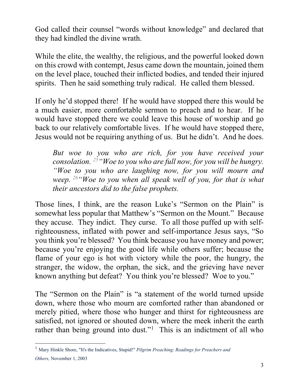God called their counsel "words without knowledge" and declared that they had kindled the divine wrath.

While the elite, the wealthy, the religious, and the powerful looked down on this crowd with contempt, Jesus came down the mountain, joined them on the level place, touched their inflicted bodies, and tended their injured spirits. Then he said something truly radical. He called them blessed.

If only he'd stopped there! If he would have stopped there this would be a much easier, more comfortable sermon to preach and to hear. If he would have stopped there we could leave this house of worship and go back to our relatively comfortable lives. If he would have stopped there, Jesus would not be requiring anything of us. But he didn't. And he does.

*But woe to you who are rich, for you have received your consolation. 25"Woe to you who are full now, for you will be hungry. "Woe to you who are laughing now, for you will mourn and weep. 26"Woe to you when all speak well of you, for that is what their ancestors did to the false prophets.*

Those lines, I think, are the reason Luke's "Sermon on the Plain" is somewhat less popular that Matthew's "Sermon on the Mount." Because they accuse. They indict. They curse. To all those puffed up with selfrighteousness, inflated with power and self-importance Jesus says, "So you think you're blessed? You think because you have money and power; because you're enjoying the good life while others suffer; because the flame of your ego is hot with victory while the poor, the hungry, the stranger, the widow, the orphan, the sick, and the grieving have never known anything but defeat? You think you're blessed? Woe to you."

The "Sermon on the Plain" is "a statement of the world turned upside down, where those who mourn are comforted rather than abandoned or merely pitied, where those who hunger and thirst for righteousness are satisfied, not ignored or shouted down, where the meek inherit the earth rather than being ground into dust."<sup>[1](#page-2-0)</sup> This is an indictment of all who

<span id="page-2-0"></span><sup>1</sup> Mary Hinkle Shore, "It's the Indicatives, Stupid!" *Pilgrim Preaching*: *Readings for Preachers and Others,* November 1, 2003